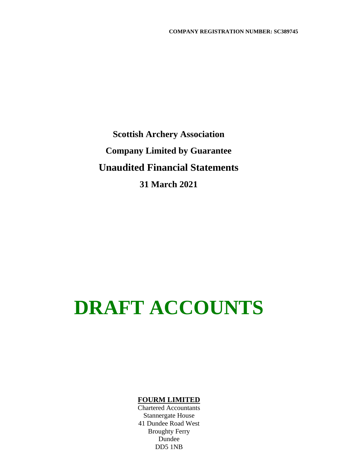**Scottish Archery Association Company Limited by Guarantee Unaudited Financial Statements 31 March 2021**

# **DRAFT ACCOUNTS**

### **FOURM LIMITED**

Chartered Accountants Stannergate House 41 Dundee Road West Broughty Ferry Dundee DD5 1NB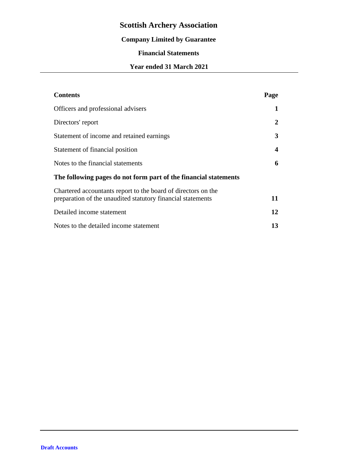# **Company Limited by Guarantee**

# **Financial Statements**

# **Year ended 31 March 2021**

| <b>Contents</b>                                                                                                              | Page                    |
|------------------------------------------------------------------------------------------------------------------------------|-------------------------|
| Officers and professional advisers                                                                                           | 1                       |
| Directors' report                                                                                                            | 2                       |
| Statement of income and retained earnings                                                                                    | 3                       |
| Statement of financial position                                                                                              | $\overline{\mathbf{4}}$ |
| Notes to the financial statements                                                                                            | 6                       |
| The following pages do not form part of the financial statements                                                             |                         |
| Chartered accountants report to the board of directors on the<br>preparation of the unaudited statutory financial statements | 11                      |
| Detailed income statement                                                                                                    | 12                      |
| Notes to the detailed income statement                                                                                       | 13                      |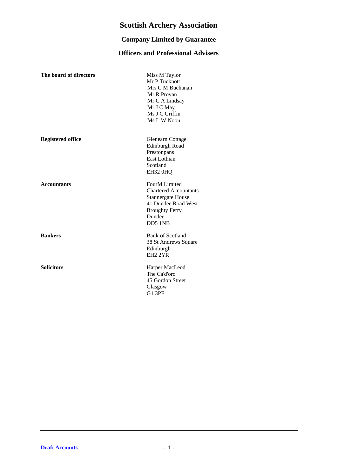# **Company Limited by Guarantee**

# **Officers and Professional Advisers**

| The board of directors   | Miss M Taylor<br>Mr P Tucknott<br>Mrs C M Buchanan<br>Mr R Provan<br>Mr C A Lindsay<br>Mr J C May<br>Ms J C Griffin<br>Ms L W Noon             |
|--------------------------|------------------------------------------------------------------------------------------------------------------------------------------------|
| <b>Registered office</b> | Glenearn Cottage<br>Edinburgh Road<br>Prestonpans<br>East Lothian<br>Scotland<br>EH32 0HQ                                                      |
| <b>Accountants</b>       | FourM Limited<br><b>Chartered Accountants</b><br><b>Stannergate House</b><br>41 Dundee Road West<br><b>Broughty Ferry</b><br>Dundee<br>DD5 1NB |
| <b>Bankers</b>           | <b>Bank of Scotland</b><br>38 St Andrews Square<br>Edinburgh<br>EH <sub>2</sub> 2YR                                                            |
| <b>Solicitors</b>        | Harper MacLeod<br>The Ca'd'oro<br>45 Gordon Street<br>Glasgow<br><b>G1 3PE</b>                                                                 |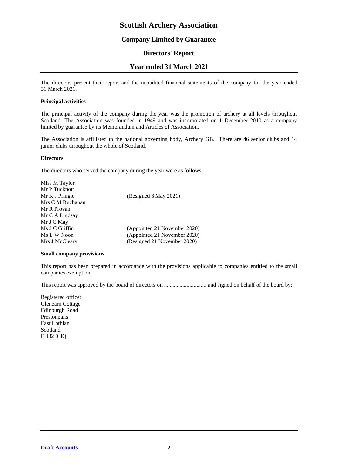### **Company Limited by Guarantee**

### **Directors' Report**

#### **Year ended 31 March 2021**

The directors present their report and the unaudited financial statements of the company for the year ended 31 March 2021.

#### **Principal activities**

The principal activity of the company during the year was the promotion of archery at all levels throughout Scotland. The Association was founded in 1949 and was incorporated on 1 December 2010 as a company limited by guarantee by its Memorandum and Articles of Association.

The Association is affiliated to the national governing body, Archery GB. There are 46 senior clubs and 14 junior clubs throughout the whole of Scotland.

#### **Directors**

The directors who served the company during the year were as follows:

| Miss M Taylor    |                              |
|------------------|------------------------------|
| Mr P Tucknott    |                              |
| Mr K J Pringle   | (Resigned 8 May 2021)        |
| Mrs C M Buchanan |                              |
| Mr R Provan      |                              |
| Mr C A Lindsay   |                              |
| Mr J C May       |                              |
| Ms J C Griffin   | (Appointed 21 November 2020) |
| Ms L W Noon      | (Appointed 21 November 2020) |
| Mrs J McCleary   | (Resigned 21 November 2020)  |
|                  |                              |

#### **Small company provisions**

This report has been prepared in accordance with the provisions applicable to companies entitled to the small companies exemption.

This report was approved by the board of directors on .............................. and signed on behalf of the board by:

Registered office: Glenearn Cottage Edinburgh Road Prestonpans East Lothian Scotland EH32 0HQ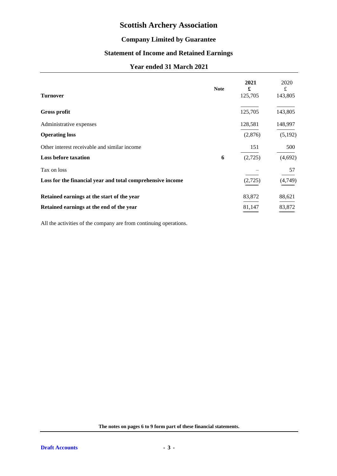# **Company Limited by Guarantee**

# **Statement of Income and Retained Earnings**

# **Year ended 31 March 2021**

| <b>Turnover</b>                                            | <b>Note</b> | 2021<br>£<br>125,705 | 2020<br>£<br>143,805 |
|------------------------------------------------------------|-------------|----------------------|----------------------|
| <b>Gross profit</b>                                        |             | 125,705              | 143,805              |
| Administrative expenses                                    |             | 128,581              | 148,997              |
| <b>Operating loss</b>                                      |             | (2,876)              | (5,192)              |
| Other interest receivable and similar income               |             | 151                  | 500                  |
| <b>Loss before taxation</b>                                | 6           | (2,725)              | (4,692)              |
| Tax on loss                                                |             |                      | 57                   |
| Loss for the financial year and total comprehensive income |             | (2,725)              | (4,749)              |
| Retained earnings at the start of the year                 |             | 83,872               | 88,621               |
| Retained earnings at the end of the year                   |             | 81,147               | 83,872               |

All the activities of the company are from continuing operations.

**The notes on pages 6 to 9 form part of these financial statements.**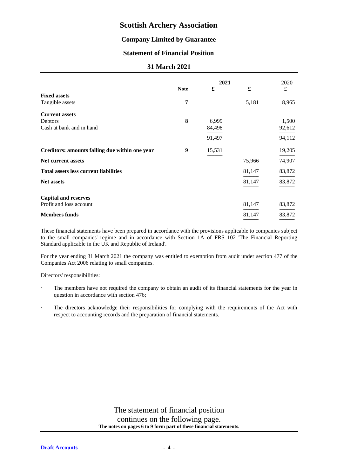### **Company Limited by Guarantee**

# **Statement of Financial Position**

### **31 March 2021**

|                                                |             | 2021   |        | 2020      |
|------------------------------------------------|-------------|--------|--------|-----------|
|                                                | <b>Note</b> | £      | £      | $\pounds$ |
| <b>Fixed assets</b><br>Tangible assets         | 7           |        | 5,181  | 8,965     |
| <b>Current assets</b>                          |             |        |        |           |
| Debtors                                        | 8           | 6,999  |        | 1,500     |
| Cash at bank and in hand                       |             | 84,498 |        | 92,612    |
|                                                |             | 91,497 |        | 94,112    |
| Creditors: amounts falling due within one year | 9           | 15,531 |        | 19,205    |
| <b>Net current assets</b>                      |             |        | 75,966 | 74,907    |
| <b>Total assets less current liabilities</b>   |             |        | 81,147 | 83,872    |
| <b>Net assets</b>                              |             |        | 81,147 | 83,872    |
|                                                |             |        |        |           |
| <b>Capital and reserves</b>                    |             |        |        |           |
| Profit and loss account                        |             |        | 81,147 | 83,872    |
| <b>Members funds</b>                           |             |        | 81,147 | 83,872    |

These financial statements have been prepared in accordance with the provisions applicable to companies subject to the small companies' regime and in accordance with Section 1A of FRS 102 'The Financial Reporting Standard applicable in the UK and Republic of Ireland'.

For the year ending 31 March 2021 the company was entitled to exemption from audit under section 477 of the Companies Act 2006 relating to small companies.

Directors' responsibilities:

- The members have not required the company to obtain an audit of its financial statements for the year in question in accordance with section 476;
- The directors acknowledge their responsibilities for complying with the requirements of the Act with respect to accounting records and the preparation of financial statements.

The statement of financial position continues on the following page. **The notes on pages 6 to 9 form part of these financial statements.**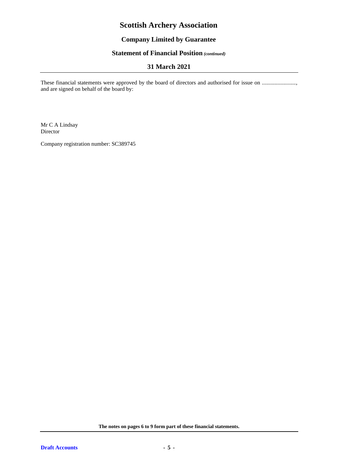# **Company Limited by Guarantee**

# **Statement of Financial Position** *(continued)*

# **31 March 2021**

These financial statements were approved by the board of directors and authorised for issue on ...................., and are signed on behalf of the board by:

Mr C A Lindsay Director

Company registration number: SC389745

**The notes on pages 6 to 9 form part of these financial statements.**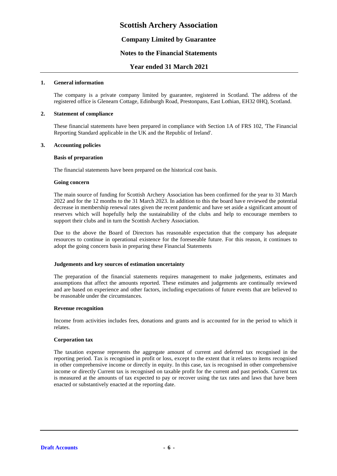### **Company Limited by Guarantee**

#### **Notes to the Financial Statements**

#### **Year ended 31 March 2021**

#### **1. General information**

The company is a private company limited by guarantee, registered in Scotland. The address of the registered office is Glenearn Cottage, Edinburgh Road, Prestonpans, East Lothian, EH32 0HQ, Scotland.

#### **2. Statement of compliance**

These financial statements have been prepared in compliance with Section 1A of FRS 102, 'The Financial Reporting Standard applicable in the UK and the Republic of Ireland'.

#### **3. Accounting policies**

#### **Basis of preparation**

The financial statements have been prepared on the historical cost basis.

#### **Going concern**

The main source of funding for Scottish Archery Association has been confirmed for the year to 31 March 2022 and for the 12 months to the 31 March 2023. In addition to this the board have reviewed the potential decrease in membership renewal rates given the recent pandemic and have set aside a significant amount of reserves which will hopefully help the sustainability of the clubs and help to encourage members to support their clubs and in turn the Scottish Archery Association.

Due to the above the Board of Directors has reasonable expectation that the company has adequate resources to continue in operational existence for the foreseeable future. For this reason, it continues to adopt the going concern basis in preparing these Financial Statements

#### **Judgements and key sources of estimation uncertainty**

The preparation of the financial statements requires management to make judgements, estimates and assumptions that affect the amounts reported. These estimates and judgements are continually reviewed and are based on experience and other factors, including expectations of future events that are believed to be reasonable under the circumstances.

#### **Revenue recognition**

Income from activities includes fees, donations and grants and is accounted for in the period to which it relates.

#### **Corporation tax**

The taxation expense represents the aggregate amount of current and deferred tax recognised in the reporting period. Tax is recognised in profit or loss, except to the extent that it relates to items recognised in other comprehensive income or directly in equity. In this case, tax is recognised in other comprehensive income or directly Current tax is recognised on taxable profit for the current and past periods. Current tax is measured at the amounts of tax expected to pay or recover using the tax rates and laws that have been enacted or substantively enacted at the reporting date.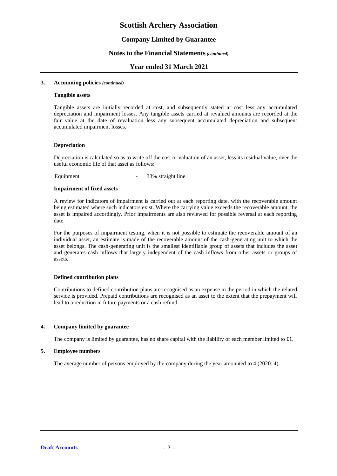### **Company Limited by Guarantee**

#### **Notes to the Financial Statements***(continued)*

#### **Year ended 31 March 2021**

#### **3. Accounting policies** *(continued)*

#### **Tangible assets**

Tangible assets are initially recorded at cost, and subsequently stated at cost less any accumulated depreciation and impairment losses. Any tangible assets carried at revalued amounts are recorded at the fair value at the date of revaluation less any subsequent accumulated depreciation and subsequent accumulated impairment losses.

#### **Depreciation**

Depreciation is calculated so as to write off the cost or valuation of an asset, less its residual value, over the useful economic life of that asset as follows:

Equipment - 33% straight line

#### **Impairment of fixed assets**

A review for indicators of impairment is carried out at each reporting date, with the recoverable amount being estimated where such indicators exist. Where the carrying value exceeds the recoverable amount, the asset is impaired accordingly. Prior impairments are also reviewed for possible reversal at each reporting date.

For the purposes of impairment testing, when it is not possible to estimate the recoverable amount of an individual asset, an estimate is made of the recoverable amount of the cash-generating unit to which the asset belongs. The cash-generating unit is the smallest identifiable group of assets that includes the asset and generates cash inflows that largely independent of the cash inflows from other assets or groups of assets.

#### **Defined contribution plans**

Contributions to defined contribution plans are recognised as an expense in the period in which the related service is provided. Prepaid contributions are recognised as an asset to the extent that the prepayment will lead to a reduction in future payments or a cash refund.

#### **4. Company limited by guarantee**

The company is limited by guarantee, has no share capital with the liability of each member limited to £1.

#### **5. Employee numbers**

The average number of persons employed by the company during the year amounted to 4 (2020: 4).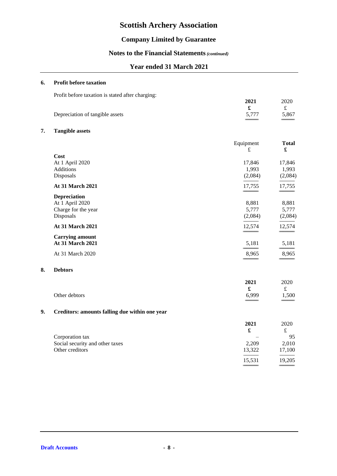# **Company Limited by Guarantee**

# **Notes to the Financial Statements***(continued)*

# **Year ended 31 March 2021**

#### **6. Profit before taxation**

Profit before taxation is stated after charging:

| <u>U</u> U                      | 2021  | 2020  |
|---------------------------------|-------|-------|
|                                 |       |       |
| Depreciation of tangible assets | 5,777 | 5,867 |

#### **7. Tangible assets**

**8. Debtors**

|    |                                                | Equipment            | <b>Total</b> |
|----|------------------------------------------------|----------------------|--------------|
|    | Cost                                           | £                    | $\mathbf f$  |
|    | At 1 April 2020                                | 17,846               | 17,846       |
|    | Additions                                      | 1,993                | 1,993        |
|    | Disposals                                      | (2,084)              | (2,084)      |
|    | At 31 March 2021                               | 17,755               | 17,755       |
|    | <b>Depreciation</b>                            |                      |              |
|    | At 1 April 2020                                | 8,881                | 8,881        |
|    | Charge for the year                            | 5,777                | 5,777        |
|    | Disposals                                      | (2,084)              | (2,084)      |
|    | At 31 March 2021                               | 12,574               | 12,574       |
|    | <b>Carrying amount</b>                         |                      |              |
|    | At 31 March 2021                               | 5,181                | 5,181        |
|    | At 31 March 2020                               | 8,965                | 8,965        |
| 8. | <b>Debtors</b>                                 |                      |              |
|    |                                                | 2021                 | 2020         |
|    |                                                | $\pmb{\mathfrak{L}}$ | $\pounds$    |
|    | Other debtors                                  | 6,999                | 1,500        |
| 9. | Creditors: amounts falling due within one year |                      |              |
|    |                                                | 2021                 | 2020         |
|    |                                                | £                    | $\mathbf f$  |
|    | Corporation tax                                |                      | 95           |
|    | Social security and other taxes                | 2,209                | 2,010        |
|    | Other creditors                                | 13,322               | 17,100       |
|    |                                                | 15,531               | 19,205       |

============================ ============================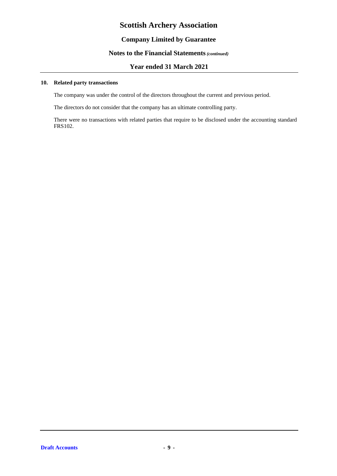# **Company Limited by Guarantee**

### **Notes to the Financial Statements***(continued)*

### **Year ended 31 March 2021**

#### **10. Related party transactions**

The company was under the control of the directors throughout the current and previous period.

The directors do not consider that the company has an ultimate controlling party.

There were no transactions with related parties that require to be disclosed under the accounting standard FRS102.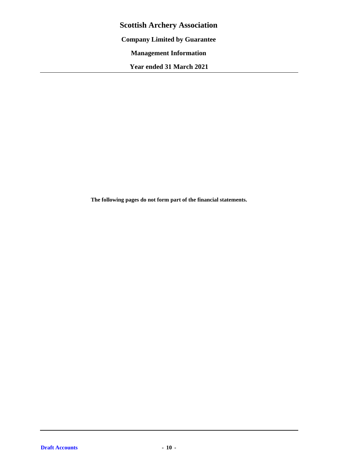**Scottish Archery Association Company Limited by Guarantee Management Information Year ended 31 March 2021**

**The following pages do not form part of the financial statements.**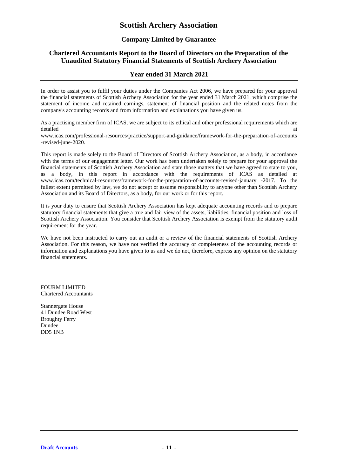### **Company Limited by Guarantee**

## **Chartered Accountants Report to the Board of Directors on the Preparation of the Unaudited Statutory Financial Statements of Scottish Archery Association**

### **Year ended 31 March 2021**

In order to assist you to fulfil your duties under the Companies Act 2006, we have prepared for your approval the financial statements of Scottish Archery Association for the year ended 31 March 2021, which comprise the statement of income and retained earnings, statement of financial position and the related notes from the company's accounting records and from information and explanations you have given us.

As a practising member firm of ICAS, we are subject to its ethical and other professional requirements which are detailed at the contract of the contract of the contract of the contract of the contract of the contract of the contract of the contract of the contract of the contract of the contract of the contract of the contract of th

www.icas.com/professional-resources/practice/support-and-guidance/framework-for-the-preparation-of-accounts -revised-june-2020.

This report is made solely to the Board of Directors of Scottish Archery Association, as a body, in accordance with the terms of our engagement letter. Our work has been undertaken solely to prepare for your approval the financial statements of Scottish Archery Association and state those matters that we have agreed to state to you, as a body, in this report in accordance with the requirements of ICAS as detailed at www.icas.com/technical-resources/framework-for-the-preparation-of-accounts-revised-january -2017. To the fullest extent permitted by law, we do not accept or assume responsibility to anyone other than Scottish Archery Association and its Board of Directors, as a body, for our work or for this report.

It is your duty to ensure that Scottish Archery Association has kept adequate accounting records and to prepare statutory financial statements that give a true and fair view of the assets, liabilities, financial position and loss of Scottish Archery Association. You consider that Scottish Archery Association is exempt from the statutory audit requirement for the year.

We have not been instructed to carry out an audit or a review of the financial statements of Scottish Archery Association. For this reason, we have not verified the accuracy or completeness of the accounting records or information and explanations you have given to us and we do not, therefore, express any opinion on the statutory financial statements.

FOURM LIMITED Chartered Accountants

Stannergate House 41 Dundee Road West Broughty Ferry Dundee DD5 1NB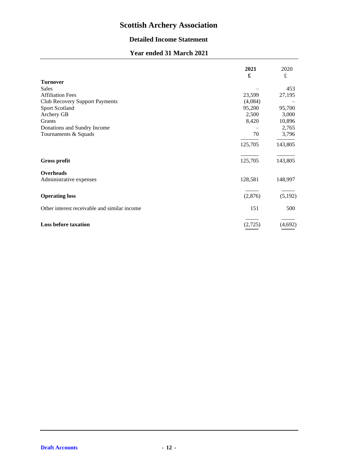# **Detailed Income Statement**

# **Year ended 31 March 2021**

|                                              | 2021<br>£ | 2020<br>$\pounds$ |
|----------------------------------------------|-----------|-------------------|
| <b>Turnover</b>                              |           |                   |
| Sales                                        |           | 453               |
| <b>Affiliation Fees</b>                      | 23,599    | 27,195            |
| Club Recovery Support Payments               | (4,084)   |                   |
| Sport Scotland                               | 95,200    | 95,700            |
| Archery GB                                   | 2,500     | 3,000             |
| Grants                                       | 8,420     | 10,896            |
| Donations and Sundry Income                  |           | 2,765             |
| Tournaments & Squads                         | 70        | 3,796             |
|                                              | 125,705   | 143,805           |
| <b>Gross profit</b>                          | 125,705   | 143,805           |
| Overheads                                    |           |                   |
| Administrative expenses                      | 128,581   | 148,997           |
| <b>Operating loss</b>                        | (2,876)   | (5,192)           |
| Other interest receivable and similar income | 151       | 500               |
| <b>Loss before taxation</b>                  | (2,725)   | (4,692)           |